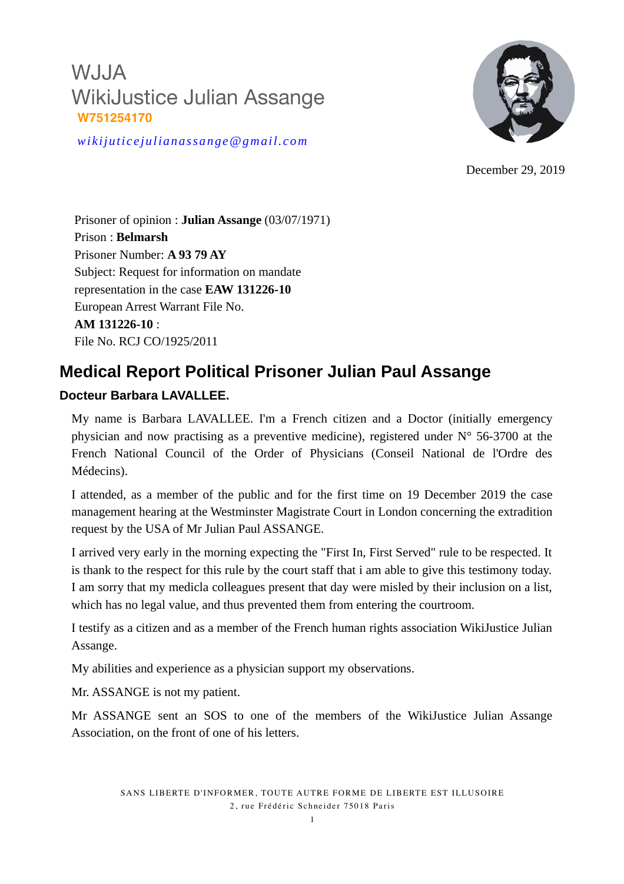

*wikijuticejulianassange@gmail.com*

December 29, 2019

Prisoner of opinion : **Julian Assange** (03/07/1971) Prison : **Belmarsh** Prisoner Number: **A 93 79 AY** Subject: Request for information on mandate representation in the case **EAW 131226-10** European Arrest Warrant File No. **AM 131226-10** : File No. RCJ CO/1925/2011

### **Medical Report Political Prisoner Julian Paul Assange**

#### **Docteur Barbara LAVALLEE.**

My name is Barbara LAVALLEE. I'm a French citizen and a Doctor (initially emergency physician and now practising as a preventive medicine), registered under N° 56-3700 at the French National Council of the Order of Physicians (Conseil National de l'Ordre des Médecins).

I attended, as a member of the public and for the first time on 19 December 2019 the case management hearing at the Westminster Magistrate Court in London concerning the extradition request by the USA of Mr Julian Paul ASSANGE.

I arrived very early in the morning expecting the "First In, First Served" rule to be respected. It is thank to the respect for this rule by the court staff that i am able to give this testimony today. I am sorry that my medicla colleagues present that day were misled by their inclusion on a list, which has no legal value, and thus prevented them from entering the courtroom.

I testify as a citizen and as a member of the French human rights association WikiJustice Julian Assange.

My abilities and experience as a physician support my observations.

Mr. ASSANGE is not my patient.

Mr ASSANGE sent an SOS to one of the members of the WikiJustice Julian Assange Association, on the front of one of his letters.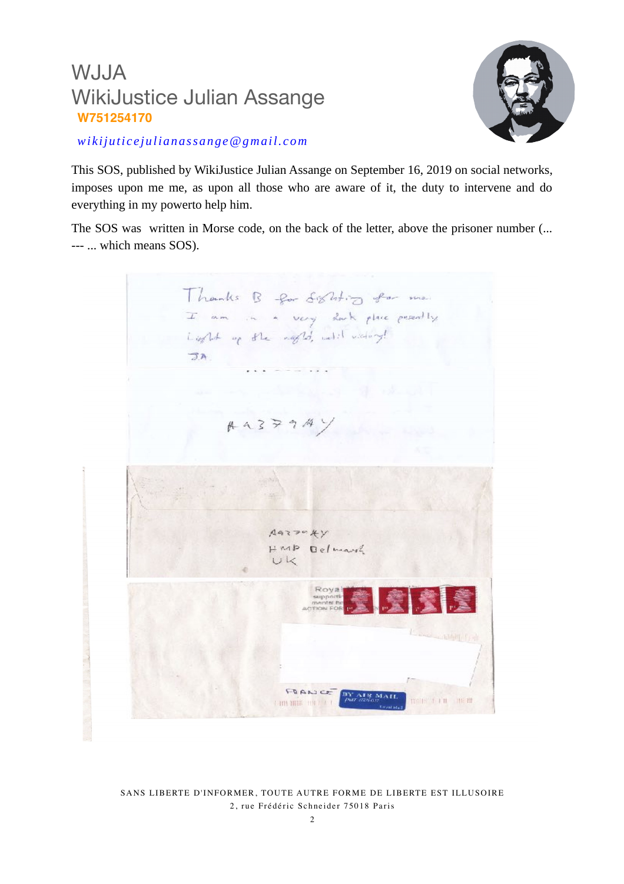

*wikijuticejulianassange@gmail.com*

This SOS, published by WikiJustice Julian Assange on September 16, 2019 on social networks, imposes upon me me, as upon all those who are aware of it, the duty to intervene and do everything in my powerto help him.

The SOS was written in Morse code, on the back of the letter, above the prisoner number (... --- ... which means SOS).

Thanks B for Sighting for me. I am in a very dark place perently Light of the right, will violent JA  $A 3794$  $A93794y$  $HMD$ Belmarch  $UK$ FORATCO **DOM: 1 FR 18 MEM** and write the t

SANS LIBERTE D'INFORMER, TOUTE AUTRE FORME DE LIBERTE EST ILLUSOIRE 2, rue Frédéric Schneider 75018 Paris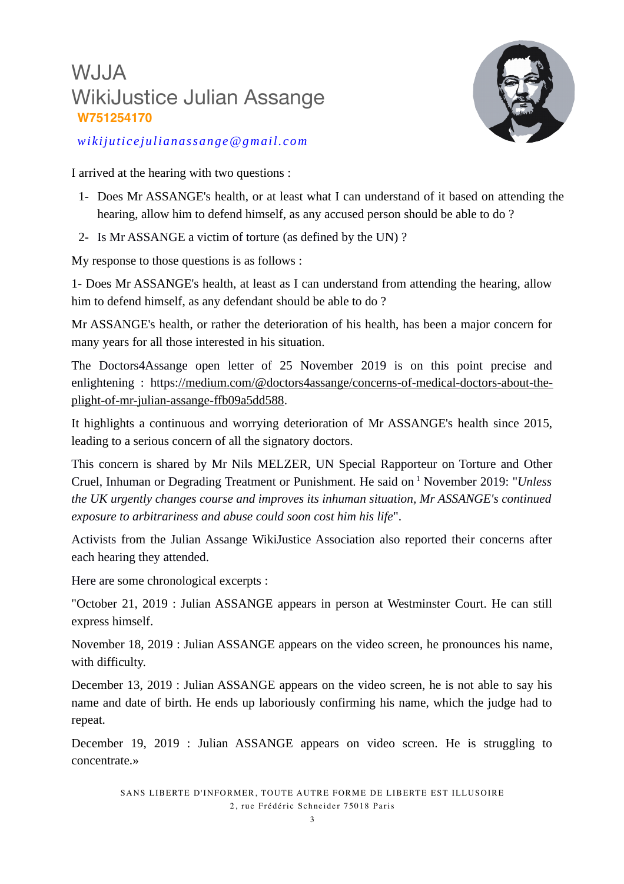

*wikijuticejulianassange@gmail.com*

I arrived at the hearing with two questions :

- 1- Does Mr ASSANGE's health, or at least what I can understand of it based on attending the hearing, allow him to defend himself, as any accused person should be able to do ?
- 2- Is Mr ASSANGE a victim of torture (as defined by the UN) ?

My response to those questions is as follows :

1- Does Mr ASSANGE's health, at least as I can understand from attending the hearing, allow him to defend himself, as any defendant should be able to do ?

Mr ASSANGE's health, or rather the deterioration of his health, has been a major concern for many years for all those interested in his situation.

The Doctors4Assange open letter of 25 November 2019 is on this point precise and enlightening : https[://medium.com/@doctors4assange/concerns-of-medical-doctors-about-the](https://medium.com/@doctors4assange/concerns-of-medical-doctors-about-the-plight-of-mr-julian-assange-ffb09a5dd588)[plight-of-mr-julian-assange-ffb09a5dd588.](https://medium.com/@doctors4assange/concerns-of-medical-doctors-about-the-plight-of-mr-julian-assange-ffb09a5dd588)

It highlights a continuous and worrying deterioration of Mr ASSANGE's health since 2015, leading to a serious concern of all the signatory doctors.

This concern is shared by Mr Nils MELZER, UN Special Rapporteur on Torture and Other Cruel, Inhuman or Degrading Treatment or Punishment. He said on <sup>1</sup> November 2019: "*Unless the UK urgently changes course and improves its inhuman situation, Mr ASSANGE's continued exposure to arbitrariness and abuse could soon cost him his life*".

Activists from the Julian Assange WikiJustice Association also reported their concerns after each hearing they attended.

Here are some chronological excerpts :

"October 21, 2019 : Julian ASSANGE appears in person at Westminster Court. He can still express himself.

November 18, 2019 : Julian ASSANGE appears on the video screen, he pronounces his name, with difficulty.

December 13, 2019 : Julian ASSANGE appears on the video screen, he is not able to say his name and date of birth. He ends up laboriously confirming his name, which the judge had to repeat.

December 19, 2019 : Julian ASSANGE appears on video screen. He is struggling to concentrate.»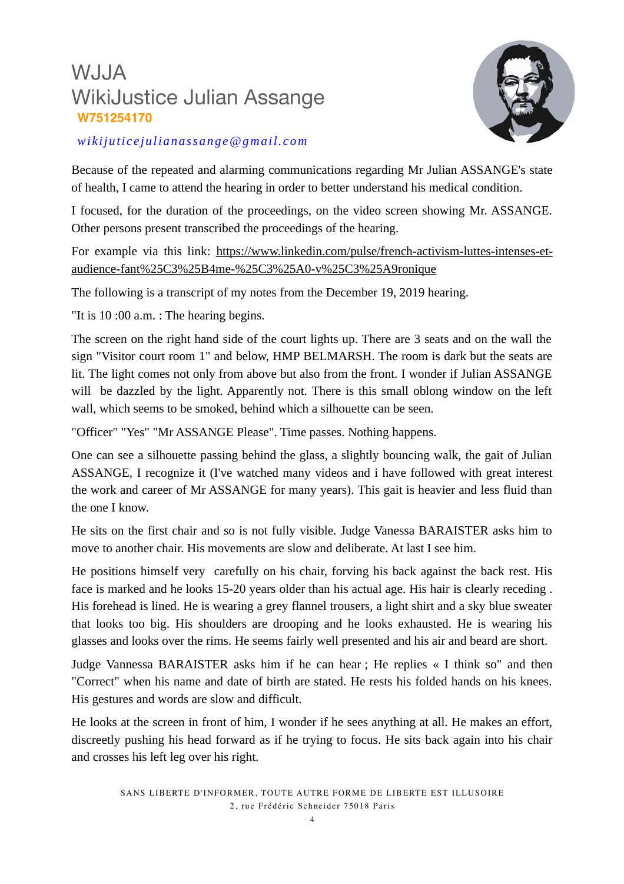

#### *wikijuticejulianassange@gmail.com*

Because of the repeated and alarming communications regarding Mr Julian ASSANGE's state of health, I came to attend the hearing in order to better understand his medical condition.

I focused, for the duration of the proceedings, on the video screen showing Mr. ASSANGE. Other persons present transcribed the proceedings of the hearing.

For example via this link: https://www.linkedin.com/pulse/french-activism-luttes-intenses-et[audience-fant%25C3%25B4me-%25C3%25A0-v%25C3%25A9ronique](https://www.linkedin.com/pulse/french-activism-luttes-intenses-et-audience-fant%25C3%25B4me-%25C3%25A0-v%25C3%25A9ronique)

The following is a transcript of my notes from the December 19, 2019 hearing.

"It is 10 :00 a.m. : The hearing begins.

The screen on the right hand side of the court lights up. There are 3 seats and on the wall the sign "Visitor court room 1" and below, HMP BELMARSH. The room is dark but the seats are lit. The light comes not only from above but also from the front. I wonder if Julian ASSANGE will be dazzled by the light. Apparently not. There is this small oblong window on the left wall, which seems to be smoked, behind which a silhouette can be seen.

"Officer" "Yes" "Mr ASSANGE Please". Time passes. Nothing happens.

One can see a silhouette passing behind the glass, a slightly bouncing walk, the gait of Julian ASSANGE, I recognize it (I've watched many videos and i have followed with great interest the work and career of Mr ASSANGE for many years). This gait is heavier and less fluid than the one I know.

He sits on the first chair and so is not fully visible. Judge Vanessa BARAISTER asks him to move to another chair. His movements are slow and deliberate. At last I see him.

He positions himself very carefully on his chair, forving his back against the back rest. His face is marked and he looks 15-20 years older than his actual age. His hair is clearly receding . His forehead is lined. He is wearing a grey flannel trousers, a light shirt and a sky blue sweater that looks too big. His shoulders are drooping and he looks exhausted. He is wearing his glasses and looks over the rims. He seems fairly well presented and his air and beard are short.

Judge Vannessa BARAISTER asks him if he can hear ; He replies « I think so" and then "Correct" when his name and date of birth are stated. He rests his folded hands on his knees. His gestures and words are slow and difficult.

He looks at the screen in front of him, I wonder if he sees anything at all. He makes an effort, discreetly pushing his head forward as if he trying to focus. He sits back again into his chair and crosses his left leg over his right.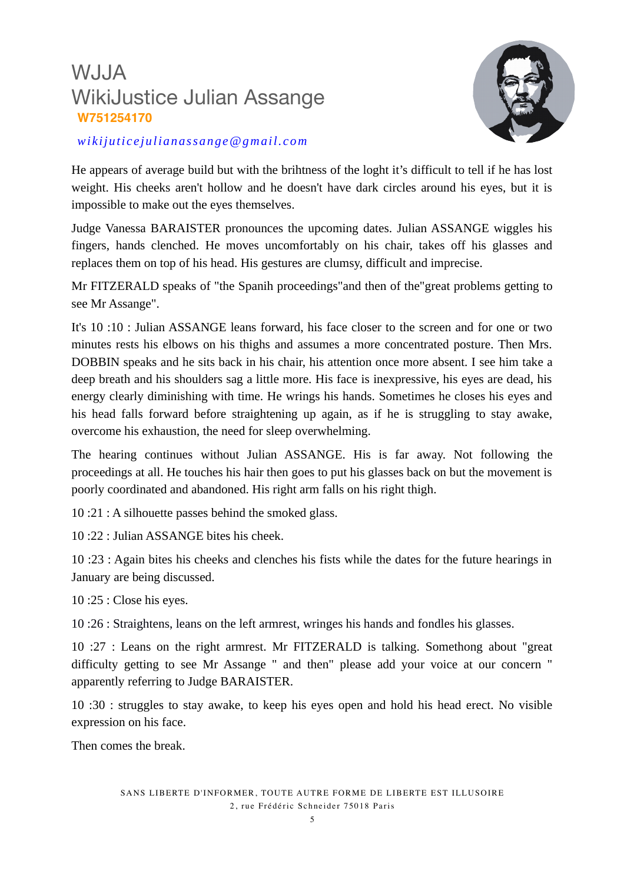

#### *wikijuticejulianassange@gmail.com*

He appears of average build but with the brihtness of the loght it's difficult to tell if he has lost weight. His cheeks aren't hollow and he doesn't have dark circles around his eyes, but it is impossible to make out the eyes themselves.

Judge Vanessa BARAISTER pronounces the upcoming dates. Julian ASSANGE wiggles his fingers, hands clenched. He moves uncomfortably on his chair, takes off his glasses and replaces them on top of his head. His gestures are clumsy, difficult and imprecise.

Mr FITZERALD speaks of "the Spanih proceedings"and then of the"great problems getting to see Mr Assange".

It's 10 :10 : Julian ASSANGE leans forward, his face closer to the screen and for one or two minutes rests his elbows on his thighs and assumes a more concentrated posture. Then Mrs. DOBBIN speaks and he sits back in his chair, his attention once more absent. I see him take a deep breath and his shoulders sag a little more. His face is inexpressive, his eyes are dead, his energy clearly diminishing with time. He wrings his hands. Sometimes he closes his eyes and his head falls forward before straightening up again, as if he is struggling to stay awake, overcome his exhaustion, the need for sleep overwhelming.

The hearing continues without Julian ASSANGE. His is far away. Not following the proceedings at all. He touches his hair then goes to put his glasses back on but the movement is poorly coordinated and abandoned. His right arm falls on his right thigh.

10 :21 : A silhouette passes behind the smoked glass.

 $10 \cdot 22 \cdot$  Julian ASSANGE bites his cheek

10 :23 : Again bites his cheeks and clenches his fists while the dates for the future hearings in January are being discussed.

10 :25 : Close his eyes.

10 :26 : Straightens, leans on the left armrest, wringes his hands and fondles his glasses.

10 :27 : Leans on the right armrest. Mr FITZERALD is talking. Somethong about "great difficulty getting to see Mr Assange " and then" please add your voice at our concern " apparently referring to Judge BARAISTER.

10 :30 : struggles to stay awake, to keep his eyes open and hold his head erect. No visible expression on his face.

Then comes the break.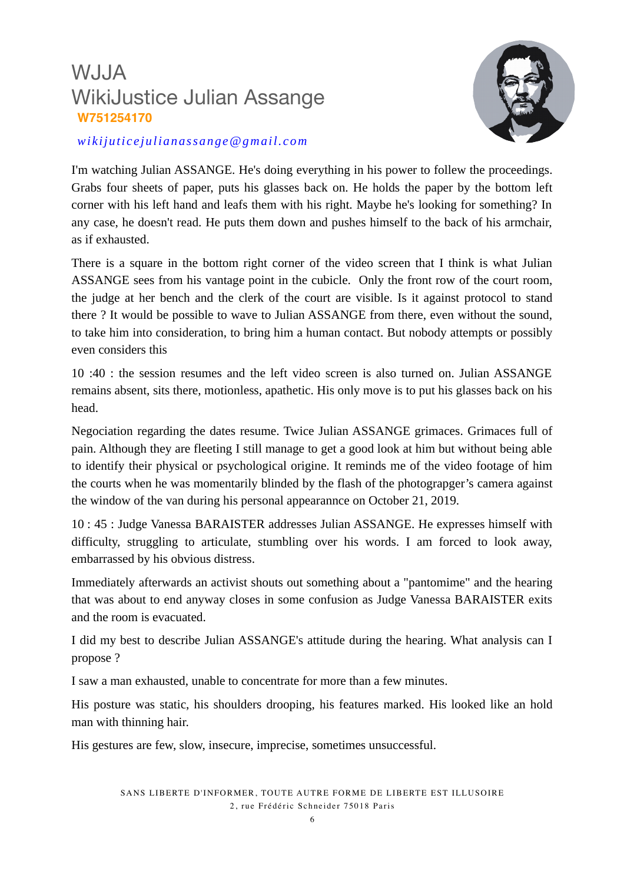

#### *wikijuticejulianassange@gmail.com*

I'm watching Julian ASSANGE. He's doing everything in his power to follew the proceedings. Grabs four sheets of paper, puts his glasses back on. He holds the paper by the bottom left corner with his left hand and leafs them with his right. Maybe he's looking for something? In any case, he doesn't read. He puts them down and pushes himself to the back of his armchair, as if exhausted.

There is a square in the bottom right corner of the video screen that I think is what Julian ASSANGE sees from his vantage point in the cubicle. Only the front row of the court room, the judge at her bench and the clerk of the court are visible. Is it against protocol to stand there ? It would be possible to wave to Julian ASSANGE from there, even without the sound, to take him into consideration, to bring him a human contact. But nobody attempts or possibly even considers this

10 :40 : the session resumes and the left video screen is also turned on. Julian ASSANGE remains absent, sits there, motionless, apathetic. His only move is to put his glasses back on his head.

Negociation regarding the dates resume. Twice Julian ASSANGE grimaces. Grimaces full of pain. Although they are fleeting I still manage to get a good look at him but without being able to identify their physical or psychological origine. It reminds me of the video footage of him the courts when he was momentarily blinded by the flash of the photograpger's camera against the window of the van during his personal appearannce on October 21, 2019.

10 : 45 : Judge Vanessa BARAISTER addresses Julian ASSANGE. He expresses himself with difficulty, struggling to articulate, stumbling over his words. I am forced to look away, embarrassed by his obvious distress.

Immediately afterwards an activist shouts out something about a "pantomime" and the hearing that was about to end anyway closes in some confusion as Judge Vanessa BARAISTER exits and the room is evacuated.

I did my best to describe Julian ASSANGE's attitude during the hearing. What analysis can I propose ?

I saw a man exhausted, unable to concentrate for more than a few minutes.

His posture was static, his shoulders drooping, his features marked. His looked like an hold man with thinning hair.

His gestures are few, slow, insecure, imprecise, sometimes unsuccessful.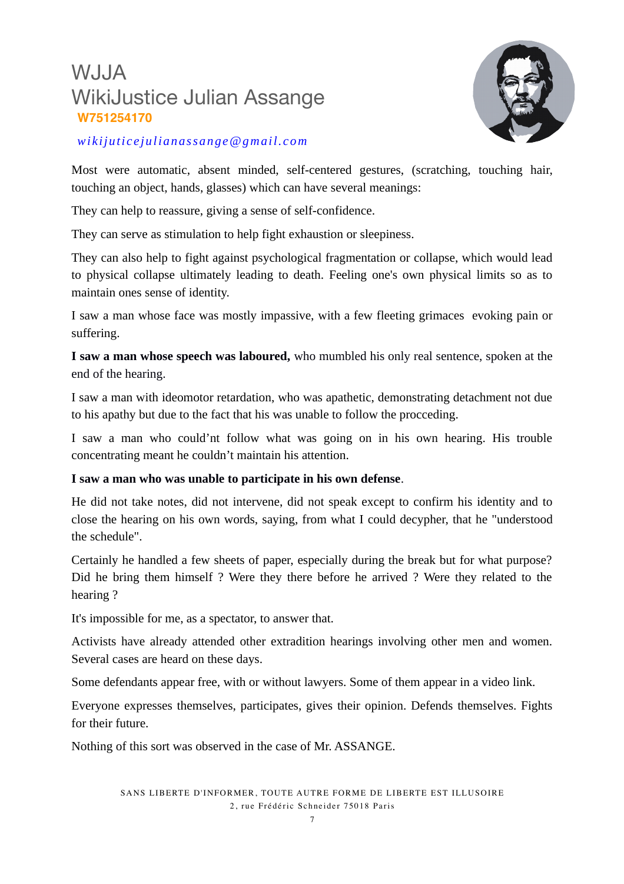

#### *wikijuticejulianassange@gmail.com*

Most were automatic, absent minded, self-centered gestures, (scratching, touching hair, touching an object, hands, glasses) which can have several meanings:

They can help to reassure, giving a sense of self-confidence.

They can serve as stimulation to help fight exhaustion or sleepiness.

They can also help to fight against psychological fragmentation or collapse, which would lead to physical collapse ultimately leading to death. Feeling one's own physical limits so as to maintain ones sense of identity.

I saw a man whose face was mostly impassive, with a few fleeting grimaces evoking pain or suffering.

**I saw a man whose speech was laboured,** who mumbled his only real sentence, spoken at the end of the hearing.

I saw a man with ideomotor retardation, who was apathetic, demonstrating detachment not due to his apathy but due to the fact that his was unable to follow the procceding.

I saw a man who could'nt follow what was going on in his own hearing. His trouble concentrating meant he couldn't maintain his attention.

#### **I saw a man who was unable to participate in his own defense**.

He did not take notes, did not intervene, did not speak except to confirm his identity and to close the hearing on his own words, saying, from what I could decypher, that he "understood the schedule".

Certainly he handled a few sheets of paper, especially during the break but for what purpose? Did he bring them himself ? Were they there before he arrived ? Were they related to the hearing ?

It's impossible for me, as a spectator, to answer that.

Activists have already attended other extradition hearings involving other men and women. Several cases are heard on these days.

Some defendants appear free, with or without lawyers. Some of them appear in a video link.

Everyone expresses themselves, participates, gives their opinion. Defends themselves. Fights for their future.

Nothing of this sort was observed in the case of Mr. ASSANGE.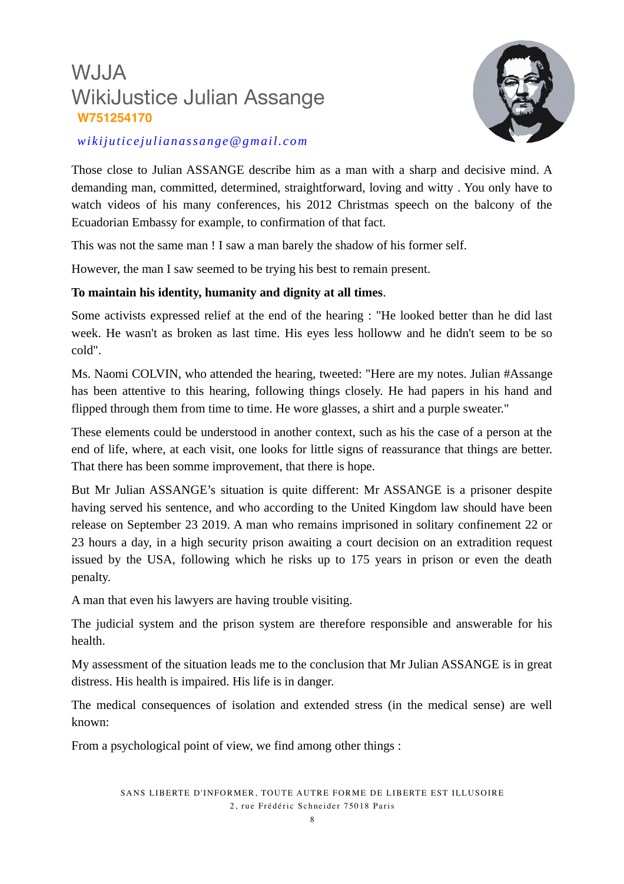

#### *wikijuticejulianassange@gmail.com*

Those close to Julian ASSANGE describe him as a man with a sharp and decisive mind. A demanding man, committed, determined, straightforward, loving and witty . You only have to watch videos of his many conferences, his 2012 Christmas speech on the balcony of the Ecuadorian Embassy for example, to confirmation of that fact.

This was not the same man ! I saw a man barely the shadow of his former self.

However, the man I saw seemed to be trying his best to remain present.

#### **To maintain his identity, humanity and dignity at all times**.

Some activists expressed relief at the end of the hearing : "He looked better than he did last week. He wasn't as broken as last time. His eyes less holloww and he didn't seem to be so cold".

Ms. Naomi COLVIN, who attended the hearing, tweeted: "Here are my notes. Julian #Assange has been attentive to this hearing, following things closely. He had papers in his hand and flipped through them from time to time. He wore glasses, a shirt and a purple sweater."

These elements could be understood in another context, such as his the case of a person at the end of life, where, at each visit, one looks for little signs of reassurance that things are better. That there has been somme improvement, that there is hope.

But Mr Julian ASSANGE's situation is quite different: Mr ASSANGE is a prisoner despite having served his sentence, and who according to the United Kingdom law should have been release on September 23 2019. A man who remains imprisoned in solitary confinement 22 or 23 hours a day, in a high security prison awaiting a court decision on an extradition request issued by the USA, following which he risks up to 175 years in prison or even the death penalty.

A man that even his lawyers are having trouble visiting.

The judicial system and the prison system are therefore responsible and answerable for his health.

My assessment of the situation leads me to the conclusion that Mr Julian ASSANGE is in great distress. His health is impaired. His life is in danger.

The medical consequences of isolation and extended stress (in the medical sense) are well known:

From a psychological point of view, we find among other things :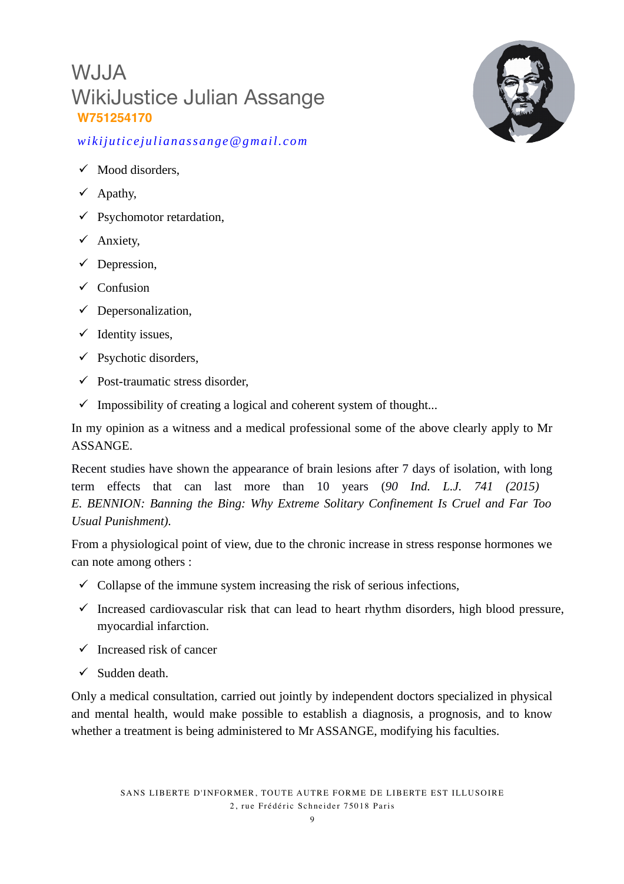

#### *wikijuticejulianassange@gmail.com*

- $\checkmark$  Mood disorders,
- $\checkmark$  Apathy,
- $\checkmark$  Psychomotor retardation,
- Anxiety,
- $\checkmark$  Depression,
- $\checkmark$  Confusion
- $\checkmark$  Depersonalization,
- $\checkmark$  Identity issues,
- $\checkmark$  Psychotic disorders,
- $\checkmark$  Post-traumatic stress disorder,
- $\checkmark$  Impossibility of creating a logical and coherent system of thought...

In my opinion as a witness and a medical professional some of the above clearly apply to Mr ASSANGE.

Recent studies have shown the appearance of brain lesions after 7 days of isolation, with long term effects that can last more than 10 years (*90 Ind. L.J. 741 (2015) E. BENNION: Banning the Bing: Why Extreme Solitary Confinement Is Cruel and Far Too Usual Punishment).*

From a physiological point of view, due to the chronic increase in stress response hormones we can note among others :

- $\checkmark$  Collapse of the immune system increasing the risk of serious infections,
- $\checkmark$  Increased cardiovascular risk that can lead to heart rhythm disorders, high blood pressure, myocardial infarction.
- $\checkmark$  Increased risk of cancer
- $\checkmark$  Sudden death.

Only a medical consultation, carried out jointly by independent doctors specialized in physical and mental health, would make possible to establish a diagnosis, a prognosis, and to know whether a treatment is being administered to Mr ASSANGE, modifying his faculties.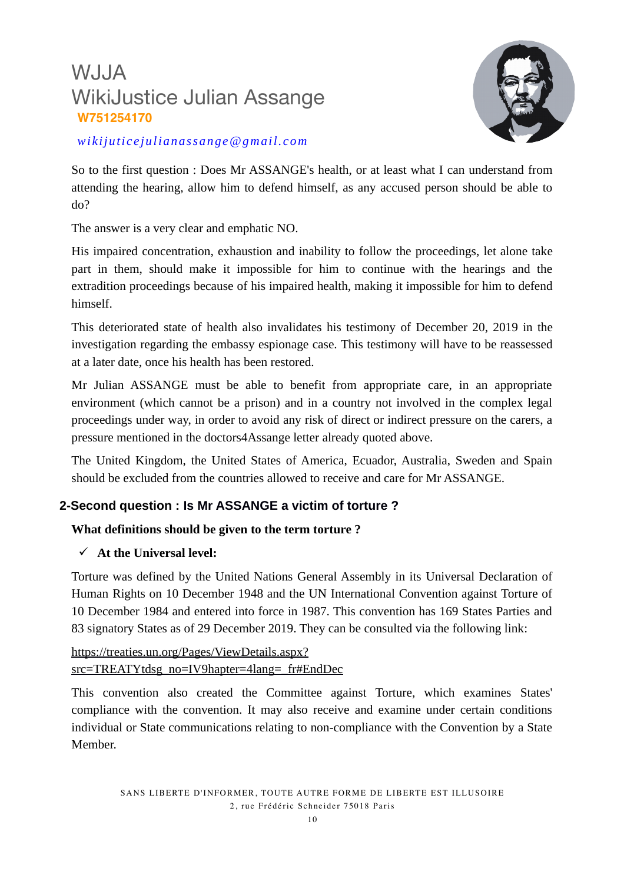

*wikijuticejulianassange@gmail.com*

So to the first question : Does Mr ASSANGE's health, or at least what I can understand from attending the hearing, allow him to defend himself, as any accused person should be able to do?

The answer is a very clear and emphatic NO.

His impaired concentration, exhaustion and inability to follow the proceedings, let alone take part in them, should make it impossible for him to continue with the hearings and the extradition proceedings because of his impaired health, making it impossible for him to defend himself.

This deteriorated state of health also invalidates his testimony of December 20, 2019 in the investigation regarding the embassy espionage case. This testimony will have to be reassessed at a later date, once his health has been restored.

Mr Julian ASSANGE must be able to benefit from appropriate care, in an appropriate environment (which cannot be a prison) and in a country not involved in the complex legal proceedings under way, in order to avoid any risk of direct or indirect pressure on the carers, a pressure mentioned in the doctors4Assange letter already quoted above.

The United Kingdom, the United States of America, Ecuador, Australia, Sweden and Spain should be excluded from the countries allowed to receive and care for Mr ASSANGE.

#### **2-Second question : Is Mr ASSANGE a victim of torture ?**

#### **What definitions should be given to the term torture ?**

#### **At the Universal level:**

Torture was defined by the United Nations General Assembly in its Universal Declaration of Human Rights on 10 December 1948 and the UN International Convention against Torture of 10 December 1984 and entered into force in 1987. This convention has 169 States Parties and 83 signatory States as of 29 December 2019. They can be consulted via the following link:

[https://treaties.un.org/Pages/ViewDetails.aspx?](https://treaties.un.org/Pages/ViewDetails.aspx?src=TREATY&mtdsg_no=IV9&chapter=4&clang=_fr#EndDec) [src=TREATYtdsg\\_no=IV9hapter=4lang=\\_fr#EndDec](https://treaties.un.org/Pages/ViewDetails.aspx?src=TREATY&mtdsg_no=IV9&chapter=4&clang=_fr#EndDec)

This convention also created the Committee against Torture, which examines States' compliance with the convention. It may also receive and examine under certain conditions individual or State communications relating to non-compliance with the Convention by a State Member.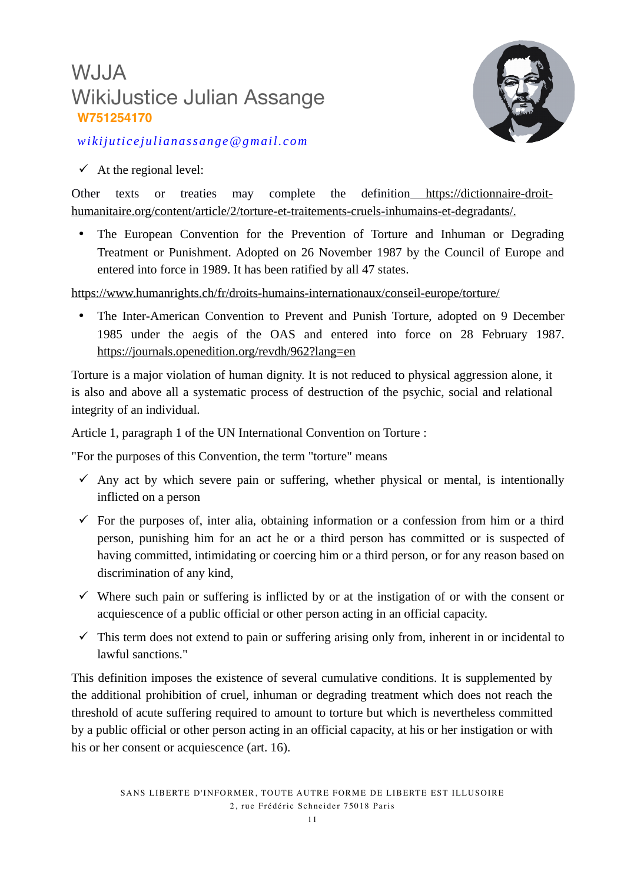

*wikijuticejulianassange@gmail.com*

 $\checkmark$  At the regional level:

Other texts or treaties may complete the definitio[n https://dictionnaire-droit](https://dictionnaire-droit-humanitaire.org/content/article/2/torture-et-traitements-cruels-inhumains-et-degradants/)[humanitaire.org/content/article/2/torture-et-traitements-cruels-inhumains-et-degradants/.](https://dictionnaire-droit-humanitaire.org/content/article/2/torture-et-traitements-cruels-inhumains-et-degradants/)

• The European Convention for the Prevention of Torture and Inhuman or Degrading Treatment or Punishment. Adopted on 26 November 1987 by the Council of Europe and entered into force in 1989. It has been ratified by all 47 states.

<https://www.humanrights.ch/fr/droits-humains-internationaux/conseil-europe/torture/>

 The Inter-American Convention to Prevent and Punish Torture, adopted on 9 December 1985 under the aegis of the OAS and entered into force on 28 February 1987. <https://journals.openedition.org/revdh/962?lang=en>

Torture is a major violation of human dignity. It is not reduced to physical aggression alone, it is also and above all a systematic process of destruction of the psychic, social and relational integrity of an individual.

Article 1, paragraph 1 of the UN International Convention on Torture :

"For the purposes of this Convention, the term "torture" means

- $\checkmark$  Any act by which severe pain or suffering, whether physical or mental, is intentionally inflicted on a person
- $\checkmark$  For the purposes of, inter alia, obtaining information or a confession from him or a third person, punishing him for an act he or a third person has committed or is suspected of having committed, intimidating or coercing him or a third person, or for any reason based on discrimination of any kind,
- $\checkmark$  Where such pain or suffering is inflicted by or at the instigation of or with the consent or acquiescence of a public official or other person acting in an official capacity.
- $\checkmark$  This term does not extend to pain or suffering arising only from, inherent in or incidental to lawful sanctions."

This definition imposes the existence of several cumulative conditions. It is supplemented by the additional prohibition of cruel, inhuman or degrading treatment which does not reach the threshold of acute suffering required to amount to torture but which is nevertheless committed by a public official or other person acting in an official capacity, at his or her instigation or with his or her consent or acquiescence (art. 16).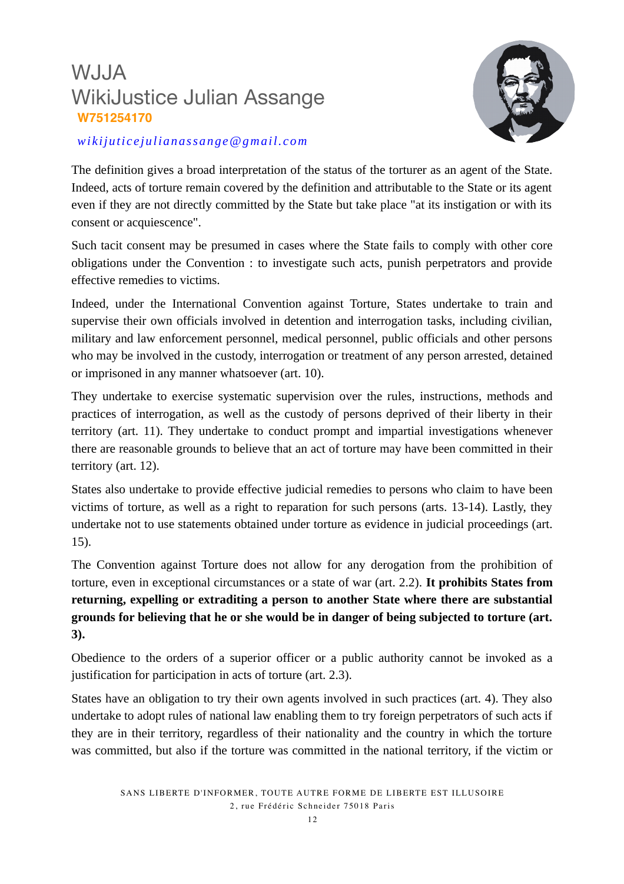

#### *wikijuticejulianassange@gmail.com*

The definition gives a broad interpretation of the status of the torturer as an agent of the State. Indeed, acts of torture remain covered by the definition and attributable to the State or its agent even if they are not directly committed by the State but take place "at its instigation or with its consent or acquiescence".

Such tacit consent may be presumed in cases where the State fails to comply with other core obligations under the Convention : to investigate such acts, punish perpetrators and provide effective remedies to victims.

Indeed, under the International Convention against Torture, States undertake to train and supervise their own officials involved in detention and interrogation tasks, including civilian, military and law enforcement personnel, medical personnel, public officials and other persons who may be involved in the custody, interrogation or treatment of any person arrested, detained or imprisoned in any manner whatsoever (art. 10).

They undertake to exercise systematic supervision over the rules, instructions, methods and practices of interrogation, as well as the custody of persons deprived of their liberty in their territory (art. 11). They undertake to conduct prompt and impartial investigations whenever there are reasonable grounds to believe that an act of torture may have been committed in their territory (art. 12).

States also undertake to provide effective judicial remedies to persons who claim to have been victims of torture, as well as a right to reparation for such persons (arts. 13-14). Lastly, they undertake not to use statements obtained under torture as evidence in judicial proceedings (art. 15).

The Convention against Torture does not allow for any derogation from the prohibition of torture, even in exceptional circumstances or a state of war (art. 2.2). **It prohibits States from returning, expelling or extraditing a person to another State where there are substantial grounds for believing that he or she would be in danger of being subjected to torture (art. 3).**

Obedience to the orders of a superior officer or a public authority cannot be invoked as a justification for participation in acts of torture (art. 2.3).

States have an obligation to try their own agents involved in such practices (art. 4). They also undertake to adopt rules of national law enabling them to try foreign perpetrators of such acts if they are in their territory, regardless of their nationality and the country in which the torture was committed, but also if the torture was committed in the national territory, if the victim or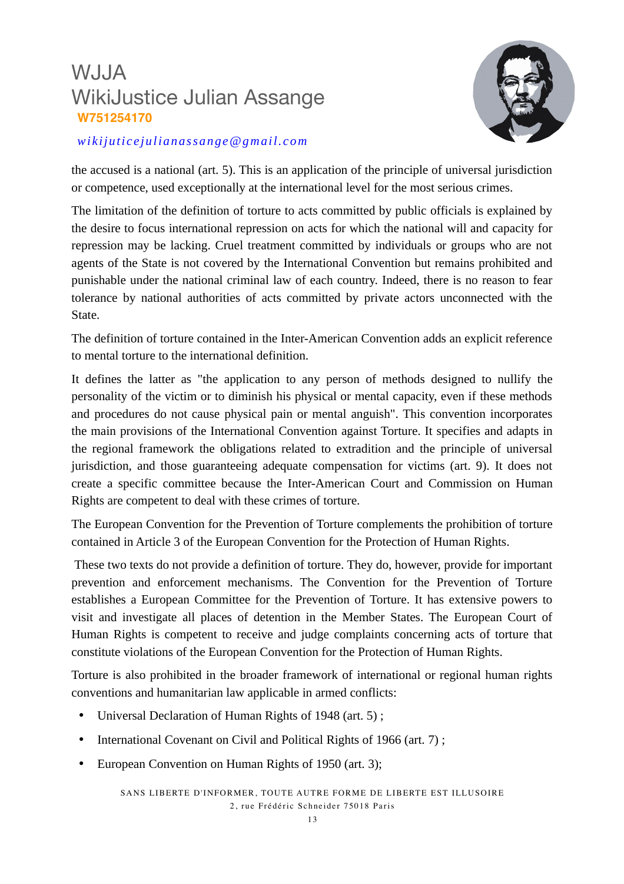

#### *wikijuticejulianassange@gmail.com*

the accused is a national (art. 5). This is an application of the principle of universal jurisdiction or competence, used exceptionally at the international level for the most serious crimes.

The limitation of the definition of torture to acts committed by public officials is explained by the desire to focus international repression on acts for which the national will and capacity for repression may be lacking. Cruel treatment committed by individuals or groups who are not agents of the State is not covered by the International Convention but remains prohibited and punishable under the national criminal law of each country. Indeed, there is no reason to fear tolerance by national authorities of acts committed by private actors unconnected with the State.

The definition of torture contained in the Inter-American Convention adds an explicit reference to mental torture to the international definition.

It defines the latter as "the application to any person of methods designed to nullify the personality of the victim or to diminish his physical or mental capacity, even if these methods and procedures do not cause physical pain or mental anguish". This convention incorporates the main provisions of the International Convention against Torture. It specifies and adapts in the regional framework the obligations related to extradition and the principle of universal jurisdiction, and those guaranteeing adequate compensation for victims (art. 9). It does not create a specific committee because the Inter-American Court and Commission on Human Rights are competent to deal with these crimes of torture.

The European Convention for the Prevention of Torture complements the prohibition of torture contained in Article 3 of the European Convention for the Protection of Human Rights.

 These two texts do not provide a definition of torture. They do, however, provide for important prevention and enforcement mechanisms. The Convention for the Prevention of Torture establishes a European Committee for the Prevention of Torture. It has extensive powers to visit and investigate all places of detention in the Member States. The European Court of Human Rights is competent to receive and judge complaints concerning acts of torture that constitute violations of the European Convention for the Protection of Human Rights.

Torture is also prohibited in the broader framework of international or regional human rights conventions and humanitarian law applicable in armed conflicts:

- Universal Declaration of Human Rights of 1948 (art. 5) ;
- International Covenant on Civil and Political Rights of 1966 (art. 7);
- European Convention on Human Rights of 1950 (art. 3);

SANS LIBERTE D'INFORMER, TOUTE AUTRE FORME DE LIBERTE EST ILLUSOIRE 2, rue Frédéric Schneider 75018 Paris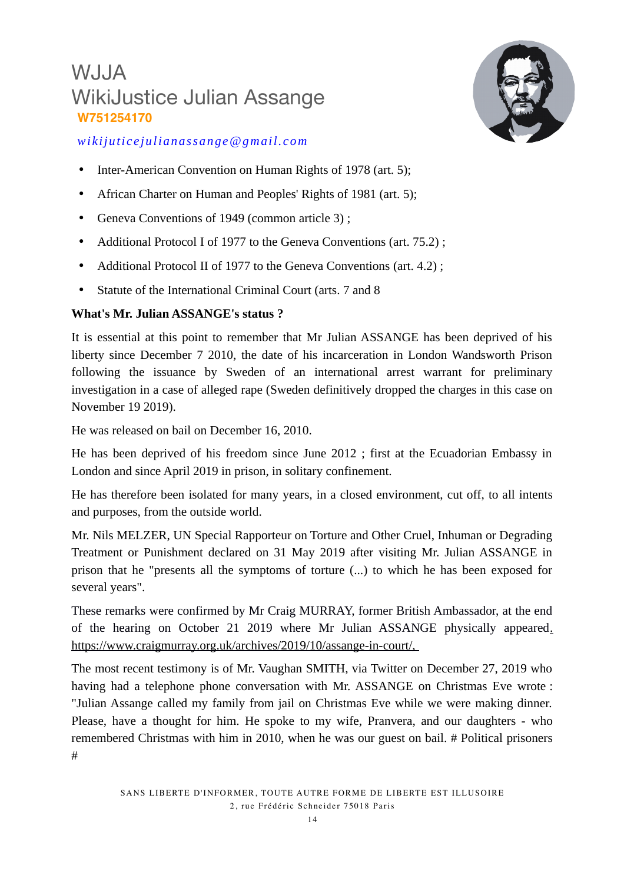

### *wikijuticejulianassange@gmail.com*

- Inter-American Convention on Human Rights of 1978 (art. 5):
- African Charter on Human and Peoples' Rights of 1981 (art. 5);
- Geneva Conventions of 1949 (common article 3) ;
- Additional Protocol I of 1977 to the Geneva Conventions (art. 75.2);
- Additional Protocol II of 1977 to the Geneva Conventions (art. 4.2) ;
- Statute of the International Criminal Court (arts. 7 and 8

#### **What's Mr. Julian ASSANGE's status ?**

It is essential at this point to remember that Mr Julian ASSANGE has been deprived of his liberty since December 7 2010, the date of his incarceration in London Wandsworth Prison following the issuance by Sweden of an international arrest warrant for preliminary investigation in a case of alleged rape (Sweden definitively dropped the charges in this case on November 19 2019).

He was released on bail on December 16, 2010.

He has been deprived of his freedom since June 2012 ; first at the Ecuadorian Embassy in London and since April 2019 in prison, in solitary confinement.

He has therefore been isolated for many years, in a closed environment, cut off, to all intents and purposes, from the outside world.

Mr. Nils MELZER, UN Special Rapporteur on Torture and Other Cruel, Inhuman or Degrading Treatment or Punishment declared on 31 May 2019 after visiting Mr. Julian ASSANGE in prison that he "presents all the symptoms of torture (...) to which he has been exposed for several years".

These remarks were confirmed by Mr Craig MURRAY, former British Ambassador, at the end of the hearing on October 21 2019 where Mr Julian ASSANGE physically appeared[.](file:///Users/D://Julian%20Assange//TORTURES//Rapport%20M%C3%A9dical%20suite%20audience%20du%2020%20D%C3%A9cembre//Versions%20finales//.%20https://www.craigmurray.org.uk//archives//2019//10//assange-in-court//,) [https://www.craigmurray.org.uk/archives/2019/10/assange-in-court/,](file:///Users/D://Julian%20Assange//TORTURES//Rapport%20M%C3%A9dical%20suite%20audience%20du%2020%20D%C3%A9cembre//Versions%20finales//.%20https://www.craigmurray.org.uk//archives//2019//10//assange-in-court//,) 

The most recent testimony is of Mr. Vaughan SMITH, via Twitter on December 27, 2019 who having had a telephone phone conversation with Mr. ASSANGE on Christmas Eve wrote : "Julian Assange called my family from jail on Christmas Eve while we were making dinner. Please, have a thought for him. He spoke to my wife, Pranvera, and our daughters - who remembered Christmas with him in 2010, when he was our guest on bail. # Political prisoners #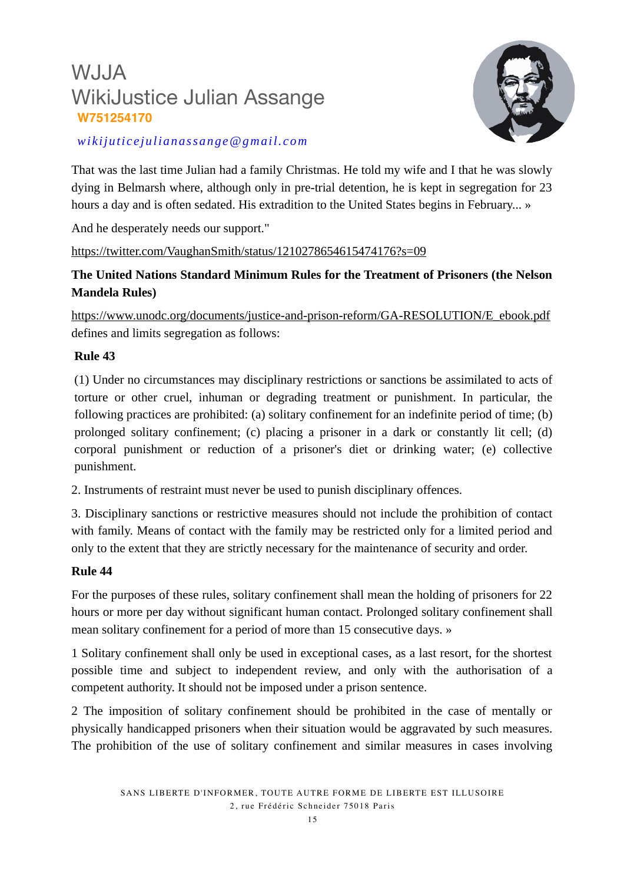

### *wikijuticejulianassange@gmail.com*

That was the last time Julian had a family Christmas. He told my wife and I that he was slowly dying in Belmarsh where, although only in pre-trial detention, he is kept in segregation for 23 hours a day and is often sedated. His extradition to the United States begins in February... »

And he desperately needs our support."

#### <https://twitter.com/VaughanSmith/status/1210278654615474176?s=09>

### **The United Nations Standard Minimum Rules for the Treatment of Prisoners (the Nelson Mandela Rules)**

[https://www.unodc.org/documents/justice-and-prison-reform/GA-RESOLUTION/E\\_ebook.pdf](file:///Users/vero/Desktop/Downloads/%20https://www.unodc.org/documents/justice-and-prison-reform/GA-RESOLUTION/E_ebook.pdf) defines and limits segregation as follows:

#### **Rule 43**

(1) Under no circumstances may disciplinary restrictions or sanctions be assimilated to acts of torture or other cruel, inhuman or degrading treatment or punishment. In particular, the following practices are prohibited: (a) solitary confinement for an indefinite period of time; (b) prolonged solitary confinement; (c) placing a prisoner in a dark or constantly lit cell; (d) corporal punishment or reduction of a prisoner's diet or drinking water; (e) collective punishment.

2. Instruments of restraint must never be used to punish disciplinary offences.

3. Disciplinary sanctions or restrictive measures should not include the prohibition of contact with family. Means of contact with the family may be restricted only for a limited period and only to the extent that they are strictly necessary for the maintenance of security and order.

#### **Rule 44**

For the purposes of these rules, solitary confinement shall mean the holding of prisoners for 22 hours or more per day without significant human contact. Prolonged solitary confinement shall mean solitary confinement for a period of more than 15 consecutive days. »

1 Solitary confinement shall only be used in exceptional cases, as a last resort, for the shortest possible time and subject to independent review, and only with the authorisation of a competent authority. It should not be imposed under a prison sentence.

2 The imposition of solitary confinement should be prohibited in the case of mentally or physically handicapped prisoners when their situation would be aggravated by such measures. The prohibition of the use of solitary confinement and similar measures in cases involving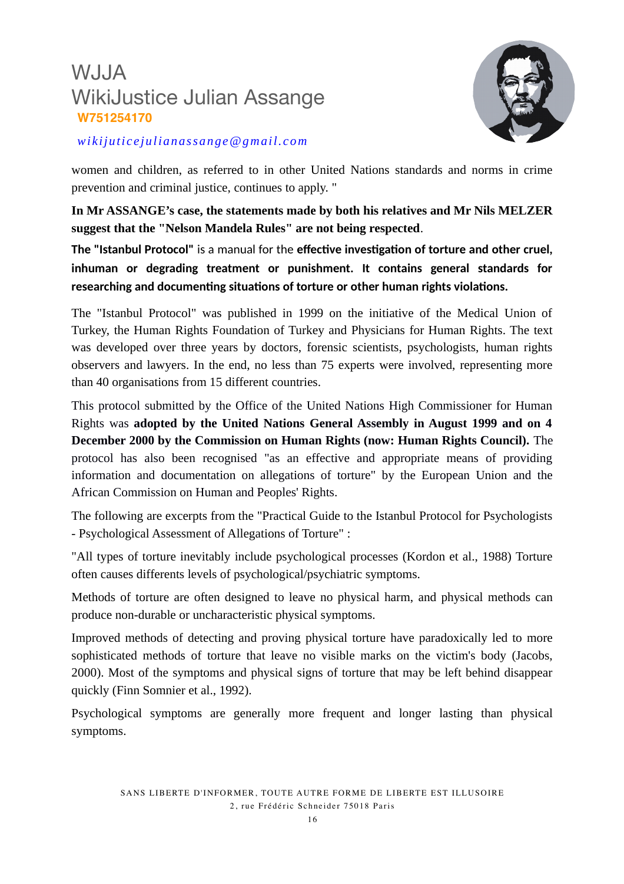

*wikijuticejulianassange@gmail.com*

women and children, as referred to in other United Nations standards and norms in crime prevention and criminal justice, continues to apply. "

**In Mr ASSANGE's case, the statements made by both his relatives and Mr Nils MELZER suggest that the "Nelson Mandela Rules" are not being respected**.

**The "Istanbul Protocol"** is a manual for the **effective investigation of torture and other cruel, inhuman or degrading treatment or punishment. It contains general standards for researching and documenting situations of torture or other human rights violations.** 

The "Istanbul Protocol" was published in 1999 on the initiative of the Medical Union of Turkey, the Human Rights Foundation of Turkey and Physicians for Human Rights. The text was developed over three years by doctors, forensic scientists, psychologists, human rights observers and lawyers. In the end, no less than 75 experts were involved, representing more than 40 organisations from 15 different countries.

This protocol submitted by the Office of the United Nations High Commissioner for Human Rights was **adopted by the United Nations General Assembly in August 1999 and on 4 December 2000 by the Commission on Human Rights (now: Human Rights Council).** The protocol has also been recognised "as an effective and appropriate means of providing information and documentation on allegations of torture" by the European Union and the African Commission on Human and Peoples' Rights.

The following are excerpts from the "Practical Guide to the Istanbul Protocol for Psychologists - Psychological Assessment of Allegations of Torture" :

"All types of torture inevitably include psychological processes (Kordon et al., 1988) Torture often causes differents levels of psychological/psychiatric symptoms.

Methods of torture are often designed to leave no physical harm, and physical methods can produce non-durable or uncharacteristic physical symptoms.

Improved methods of detecting and proving physical torture have paradoxically led to more sophisticated methods of torture that leave no visible marks on the victim's body (Jacobs, 2000). Most of the symptoms and physical signs of torture that may be left behind disappear quickly (Finn Somnier et al., 1992).

Psychological symptoms are generally more frequent and longer lasting than physical symptoms.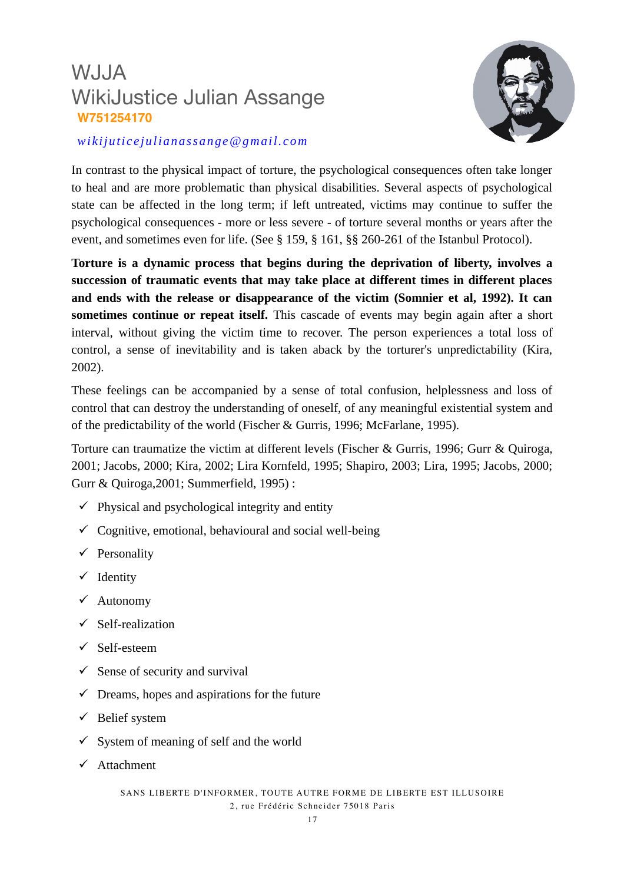

#### *wikijuticejulianassange@gmail.com*

In contrast to the physical impact of torture, the psychological consequences often take longer to heal and are more problematic than physical disabilities. Several aspects of psychological state can be affected in the long term; if left untreated, victims may continue to suffer the psychological consequences - more or less severe - of torture several months or years after the event, and sometimes even for life. (See § 159, § 161, §§ 260-261 of the Istanbul Protocol).

**Torture is a dynamic process that begins during the deprivation of liberty, involves a succession of traumatic events that may take place at different times in different places and ends with the release or disappearance of the victim (Somnier et al, 1992). It can sometimes continue or repeat itself.** This cascade of events may begin again after a short interval, without giving the victim time to recover. The person experiences a total loss of control, a sense of inevitability and is taken aback by the torturer's unpredictability (Kira, 2002).

These feelings can be accompanied by a sense of total confusion, helplessness and loss of control that can destroy the understanding of oneself, of any meaningful existential system and of the predictability of the world (Fischer & Gurris, 1996; McFarlane, 1995).

Torture can traumatize the victim at different levels (Fischer & Gurris, 1996; Gurr & Quiroga, 2001; Jacobs, 2000; Kira, 2002; Lira Kornfeld, 1995; Shapiro, 2003; Lira, 1995; Jacobs, 2000; Gurr & Quiroga,2001; Summerfield, 1995) :

- $\checkmark$  Physical and psychological integrity and entity
- $\checkmark$  Cognitive, emotional, behavioural and social well-being
- $\checkmark$  Personality
- $\checkmark$  Identity
- $\checkmark$  Autonomy
- $\checkmark$  Self-realization
- $\checkmark$  Self-esteem
- $\checkmark$  Sense of security and survival
- $\checkmark$  Dreams, hopes and aspirations for the future
- $\checkmark$  Belief system
- $\checkmark$  System of meaning of self and the world
- $\checkmark$  Attachment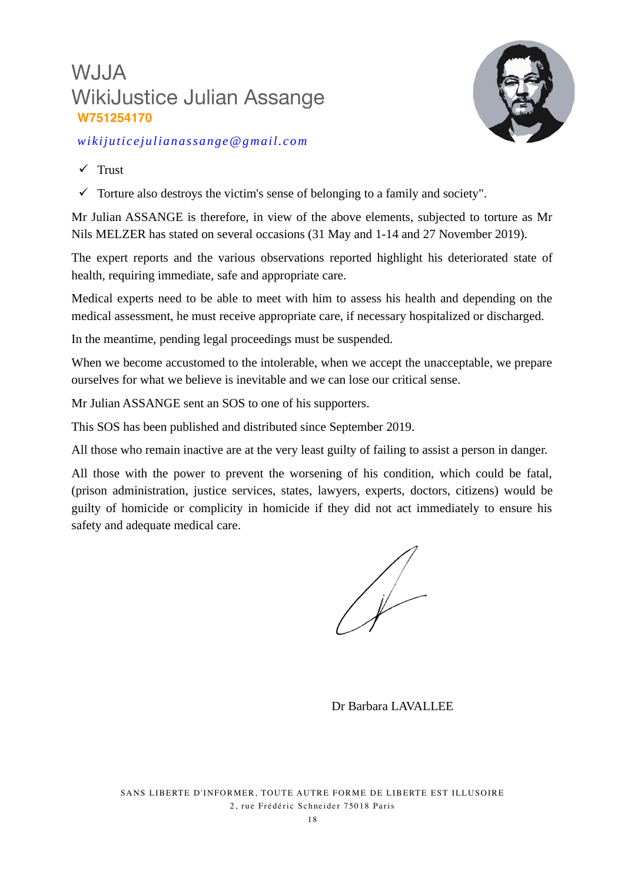

*wikijuticejulianassange@gmail.com*

- $\checkmark$  Trust
- $\checkmark$  Torture also destroys the victim's sense of belonging to a family and society".

Mr Julian ASSANGE is therefore, in view of the above elements, subjected to torture as Mr Nils MELZER has stated on several occasions (31 May and 1-14 and 27 November 2019).

The expert reports and the various observations reported highlight his deteriorated state of health, requiring immediate, safe and appropriate care.

Medical experts need to be able to meet with him to assess his health and depending on the medical assessment, he must receive appropriate care, if necessary hospitalized or discharged.

In the meantime, pending legal proceedings must be suspended.

When we become accustomed to the intolerable, when we accept the unacceptable, we prepare ourselves for what we believe is inevitable and we can lose our critical sense.

Mr Julian ASSANGE sent an SOS to one of his supporters.

This SOS has been published and distributed since September 2019.

All those who remain inactive are at the very least guilty of failing to assist a person in danger.

All those with the power to prevent the worsening of his condition, which could be fatal, (prison administration, justice services, states, lawyers, experts, doctors, citizens) would be guilty of homicide or complicity in homicide if they did not act immediately to ensure his safety and adequate medical care.

Dr Barbara LAVALLEE